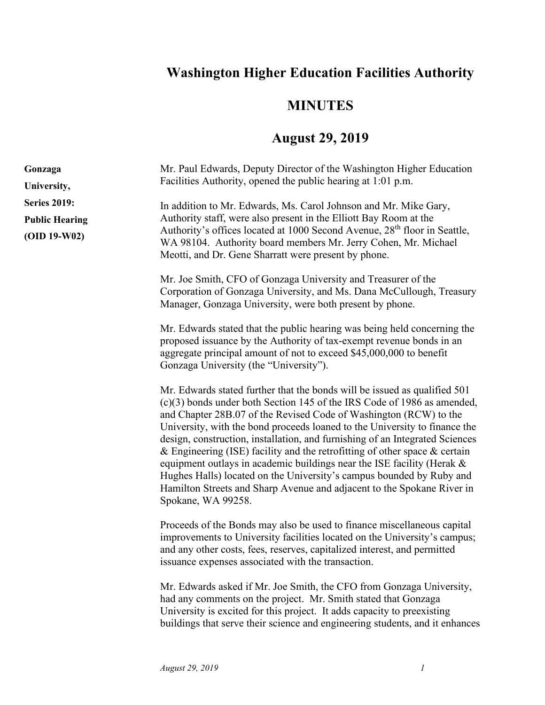## **Washington Higher Education Facilities Authority**

## **MINUTES**

## **August 29, 2019**

| Gonzaga               | Mr. Paul Edwards, Deputy Director of the Washington Higher Education                                                                                                                                                                                                                                                                                                                                                                                                                                                                                                                                                                                                                                                         |
|-----------------------|------------------------------------------------------------------------------------------------------------------------------------------------------------------------------------------------------------------------------------------------------------------------------------------------------------------------------------------------------------------------------------------------------------------------------------------------------------------------------------------------------------------------------------------------------------------------------------------------------------------------------------------------------------------------------------------------------------------------------|
| University,           | Facilities Authority, opened the public hearing at 1:01 p.m.                                                                                                                                                                                                                                                                                                                                                                                                                                                                                                                                                                                                                                                                 |
| <b>Series 2019:</b>   | In addition to Mr. Edwards, Ms. Carol Johnson and Mr. Mike Gary,                                                                                                                                                                                                                                                                                                                                                                                                                                                                                                                                                                                                                                                             |
| <b>Public Hearing</b> | Authority staff, were also present in the Elliott Bay Room at the                                                                                                                                                                                                                                                                                                                                                                                                                                                                                                                                                                                                                                                            |
| $(OID 19-W02)$        | Authority's offices located at 1000 Second Avenue, 28 <sup>th</sup> floor in Seattle,<br>WA 98104. Authority board members Mr. Jerry Cohen, Mr. Michael                                                                                                                                                                                                                                                                                                                                                                                                                                                                                                                                                                      |
|                       | Meotti, and Dr. Gene Sharratt were present by phone.                                                                                                                                                                                                                                                                                                                                                                                                                                                                                                                                                                                                                                                                         |
|                       | Mr. Joe Smith, CFO of Gonzaga University and Treasurer of the<br>Corporation of Gonzaga University, and Ms. Dana McCullough, Treasury<br>Manager, Gonzaga University, were both present by phone.                                                                                                                                                                                                                                                                                                                                                                                                                                                                                                                            |
|                       | Mr. Edwards stated that the public hearing was being held concerning the<br>proposed issuance by the Authority of tax-exempt revenue bonds in an<br>aggregate principal amount of not to exceed \$45,000,000 to benefit<br>Gonzaga University (the "University").                                                                                                                                                                                                                                                                                                                                                                                                                                                            |
|                       | Mr. Edwards stated further that the bonds will be issued as qualified 501<br>$(c)(3)$ bonds under both Section 145 of the IRS Code of 1986 as amended,<br>and Chapter 28B.07 of the Revised Code of Washington (RCW) to the<br>University, with the bond proceeds loaned to the University to finance the<br>design, construction, installation, and furnishing of an Integrated Sciences<br>& Engineering (ISE) facility and the retrofitting of other space $\&$ certain<br>equipment outlays in academic buildings near the ISE facility (Herak &<br>Hughes Halls) located on the University's campus bounded by Ruby and<br>Hamilton Streets and Sharp Avenue and adjacent to the Spokane River in<br>Spokane, WA 99258. |
|                       | Proceeds of the Bonds may also be used to finance miscellaneous capital<br>improvements to University facilities located on the University's campus;<br>and any other costs, fees, reserves, capitalized interest, and permitted<br>issuance expenses associated with the transaction.                                                                                                                                                                                                                                                                                                                                                                                                                                       |
|                       | Mr. Edwards asked if Mr. Joe Smith, the CFO from Gonzaga University,<br>had any comments on the project. Mr. Smith stated that Gonzaga<br>University is excited for this project. It adds capacity to preexisting<br>buildings that serve their science and engineering students, and it enhances                                                                                                                                                                                                                                                                                                                                                                                                                            |